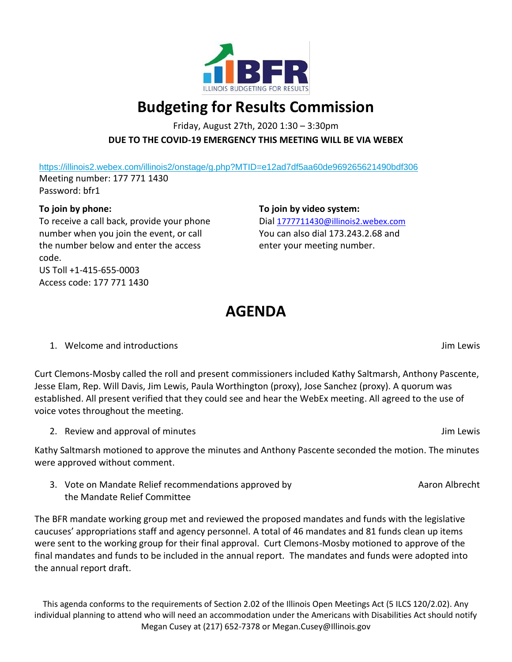

## **Budgeting for Results Commission**

Friday, August 27th, 2020 1:30 – 3:30pm **DUE TO THE COVID-19 EMERGENCY THIS MEETING WILL BE VIA WEBEX**

<https://illinois2.webex.com/illinois2/onstage/g.php?MTID=e12ad7df5aa60de969265621490bdf306> Meeting number: 177 771 1430 Password: bfr1

## **To join by phone:**

To receive a call back, provide your phone number when you join the event, or call the number below and enter the access code. US Toll +1-415-655-0003 Access code: 177 771 1430

**To join by video system:** Dial [1777711430@illinois2.webex.com](mailto:1777711430@illinois2.webex.com) You can also dial 173.243.2.68 and enter your meeting number.

## **AGENDA**

## 1. Welcome and introductions Jim Lewis

Curt Clemons-Mosby called the roll and present commissioners included Kathy Saltmarsh, Anthony Pascente, Jesse Elam, Rep. Will Davis, Jim Lewis, Paula Worthington (proxy), Jose Sanchez (proxy). A quorum was established. All present verified that they could see and hear the WebEx meeting. All agreed to the use of voice votes throughout the meeting.

2. Review and approval of minutes and  $\overline{a}$  and  $\overline{b}$  and  $\overline{b}$  and  $\overline{b}$  and  $\overline{b}$  and  $\overline{b}$  and  $\overline{b}$  and  $\overline{b}$  and  $\overline{b}$  and  $\overline{b}$  and  $\overline{b}$  and  $\overline{b}$  and  $\overline{b}$  and  $\overline{b}$  and  $\$ 

Kathy Saltmarsh motioned to approve the minutes and Anthony Pascente seconded the motion. The minutes were approved without comment.

3. Vote on Mandate Relief recommendations approved by the Mandate Relief Committee

The BFR mandate working group met and reviewed the proposed mandates and funds with the legislative caucuses' appropriations staff and agency personnel. A total of 46 mandates and 81 funds clean up items were sent to the working group for their final approval. Curt Clemons-Mosby motioned to approve of the final mandates and funds to be included in the annual report. The mandates and funds were adopted into the annual report draft.

This agenda conforms to the requirements of Section 2.02 of the Illinois Open Meetings Act (5 ILCS 120/2.02). Any individual planning to attend who will need an accommodation under the Americans with Disabilities Act should notify Megan Cusey at (217) 652-7378 or Megan.Cusey@Illinois.gov

Aaron Albrecht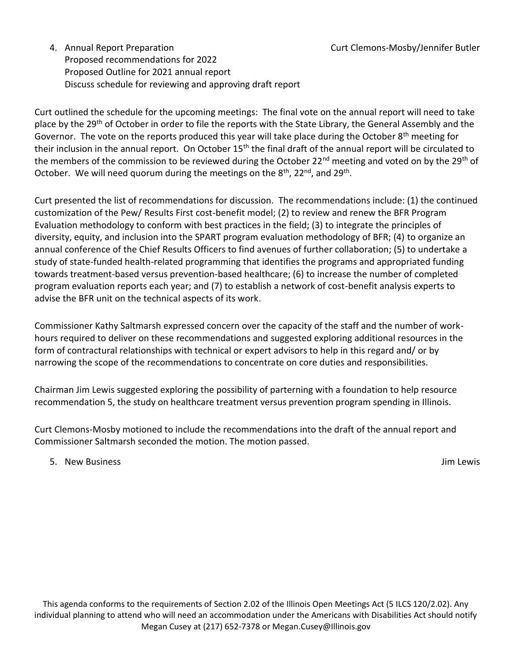4. Annual Report Preparation Proposed recommendations for 2022 Proposed Outline for 2021 annual report Discuss schedule for reviewing and approving draft report

Curt outlined the schedule for the upcoming meetings: The final vote on the annual report will need to take place by the 29<sup>th</sup> of October in order to file the reports with the State Library, the General Assembly and the Governor. The vote on the reports produced this year will take place during the October  $8<sup>th</sup>$  meeting for their inclusion in the annual report. On October 15<sup>th</sup> the final draft of the annual report will be circulated to the members of the commission to be reviewed during the October 22<sup>nd</sup> meeting and voted on by the 29<sup>th</sup> of October. We will need quorum during the meetings on the 8<sup>th</sup>, 22<sup>nd</sup>, and 29<sup>th</sup>.

Curt presented the list of recommendations for discussion. The recommendations include: (1) the continued customization of the Pew/ Results First cost-benefit model; (2) to review and renew the BFR Program Evaluation methodology to conform with best practices in the field; (3) to integrate the principles of diversity, equity, and inclusion into the SPART program evaluation methodology of BFR; (4) to organize an annual conference of the Chief Results Officers to find avenues of further collaboration; (5) to undertake a study of state-funded health-related programming that identifies the programs and appropriated funding towards treatment-based versus prevention-based healthcare; (6) to increase the number of completed program evaluation reports each year; and (7) to establish a network of cost-benefit analysis experts to advise the BFR unit on the technical aspects of its work.

Commissioner Kathy Saltmarsh expressed concern over the capacity of the staff and the number of workhours required to deliver on these recommendations and suggested exploring additional resources in the form of contractural relationships with technical or expert advisors to help in this regard and/ or by narrowing the scope of the recommendations to concentrate on core duties and responsibilities.

Chairman Jim Lewis suggested exploring the possibility of parterning with a foundation to help resource recommendation 5, the study on healthcare treatment versus prevention program spending in Illinois.

Curt Clemons-Mosby motioned to include the recommendations into the draft of the annual report and Commissioner Saltmarsh seconded the motion. The motion passed.

5. New Business Jim Lewis